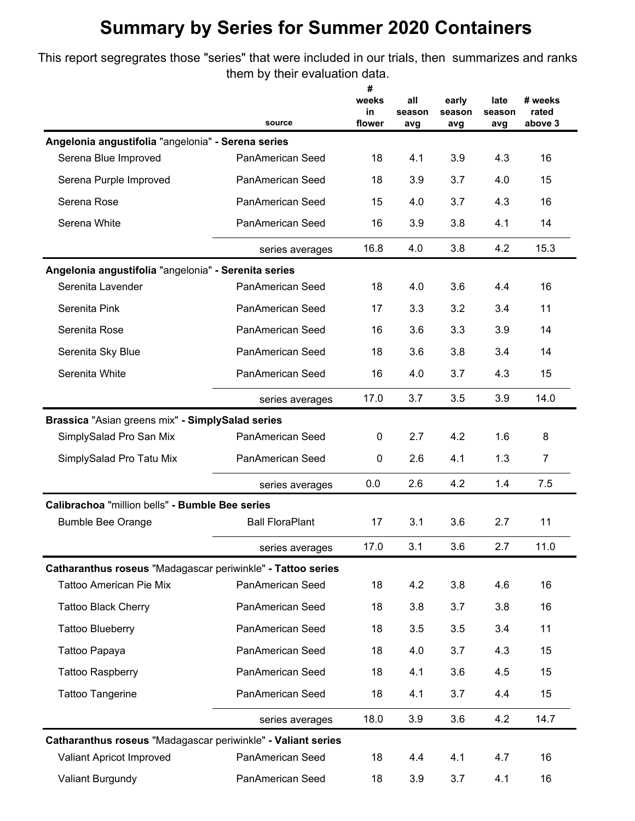### **Summary by Series for Summer 2020 Containers**

This report segregrates those "series" that were included in our trials, then summarizes and ranks them by their evaluation data.

|                                                              | source                  | #<br>weeks<br>in<br>flower | all<br>season<br>avg | early<br>season<br>avg | late<br>season<br>avg | # weeks<br>rated<br>above 3 |
|--------------------------------------------------------------|-------------------------|----------------------------|----------------------|------------------------|-----------------------|-----------------------------|
| Angelonia angustifolia "angelonia" - Serena series           |                         |                            |                      |                        |                       |                             |
| Serena Blue Improved                                         | PanAmerican Seed        | 18                         | 4.1                  | 3.9                    | 4.3                   | 16                          |
| Serena Purple Improved                                       | PanAmerican Seed        | 18                         | 3.9                  | 3.7                    | 4.0                   | 15                          |
| Serena Rose                                                  | PanAmerican Seed        | 15                         | 4.0                  | 3.7                    | 4.3                   | 16                          |
| Serena White                                                 | PanAmerican Seed        | 16                         | 3.9                  | 3.8                    | 4.1                   | 14                          |
|                                                              | series averages         | 16.8                       | 4.0                  | 3.8                    | 4.2                   | 15.3                        |
| Angelonia angustifolia "angelonia" - Serenita series         |                         |                            |                      |                        |                       |                             |
| Serenita Lavender                                            | PanAmerican Seed        | 18                         | 4.0                  | 3.6                    | 4.4                   | 16                          |
| Serenita Pink                                                | <b>PanAmerican Seed</b> | 17                         | 3.3                  | 3.2                    | 3.4                   | 11                          |
| Serenita Rose                                                | PanAmerican Seed        | 16                         | 3.6                  | 3.3                    | 3.9                   | 14                          |
| Serenita Sky Blue                                            | PanAmerican Seed        | 18                         | 3.6                  | 3.8                    | 3.4                   | 14                          |
| Serenita White                                               | PanAmerican Seed        | 16                         | 4.0                  | 3.7                    | 4.3                   | 15                          |
|                                                              | series averages         | 17.0                       | 3.7                  | 3.5                    | 3.9                   | 14.0                        |
| Brassica "Asian greens mix" - SimplySalad series             |                         |                            |                      |                        |                       |                             |
| SimplySalad Pro San Mix                                      | PanAmerican Seed        | 0                          | 2.7                  | 4.2                    | 1.6                   | 8                           |
| SimplySalad Pro Tatu Mix                                     | PanAmerican Seed        | 0                          | 2.6                  | 4.1                    | 1.3                   | 7                           |
|                                                              | series averages         | 0.0                        | 2.6                  | 4.2                    | 1.4                   | 7.5                         |
| Calibrachoa "million bells" - Bumble Bee series              |                         |                            |                      |                        |                       |                             |
| <b>Bumble Bee Orange</b>                                     | <b>Ball FloraPlant</b>  | 17                         | 3.1                  | 3.6                    | 2.7                   | 11                          |
|                                                              | series averages         | 17.0                       | 3.1                  | 3.6                    | 2.7                   | 11.0                        |
| Catharanthus roseus "Madagascar periwinkle" - Tattoo series  |                         |                            |                      |                        |                       |                             |
| <b>Tattoo American Pie Mix</b>                               | PanAmerican Seed        | 18                         | 4.2                  | 3.8                    | 4.6                   | 16                          |
| <b>Tattoo Black Cherry</b>                                   | PanAmerican Seed        | 18                         | 3.8                  | 3.7                    | 3.8                   | 16                          |
| <b>Tattoo Blueberry</b>                                      | PanAmerican Seed        | 18                         | 3.5                  | 3.5                    | 3.4                   | 11                          |
| Tattoo Papaya                                                | PanAmerican Seed        | 18                         | 4.0                  | 3.7                    | 4.3                   | 15                          |
| <b>Tattoo Raspberry</b>                                      | PanAmerican Seed        | 18                         | 4.1                  | 3.6                    | 4.5                   | 15                          |
| <b>Tattoo Tangerine</b>                                      | PanAmerican Seed        | 18                         | 4.1                  | 3.7                    | 4.4                   | 15                          |
|                                                              | series averages         | 18.0                       | 3.9                  | 3.6                    | 4.2                   | 14.7                        |
| Catharanthus roseus "Madagascar periwinkle" - Valiant series |                         |                            |                      |                        |                       |                             |
| Valiant Apricot Improved                                     | PanAmerican Seed        | 18                         | 4.4                  | 4.1                    | 4.7                   | 16                          |
| <b>Valiant Burgundy</b>                                      | PanAmerican Seed        | 18                         | 3.9                  | 3.7                    | 4.1                   | 16                          |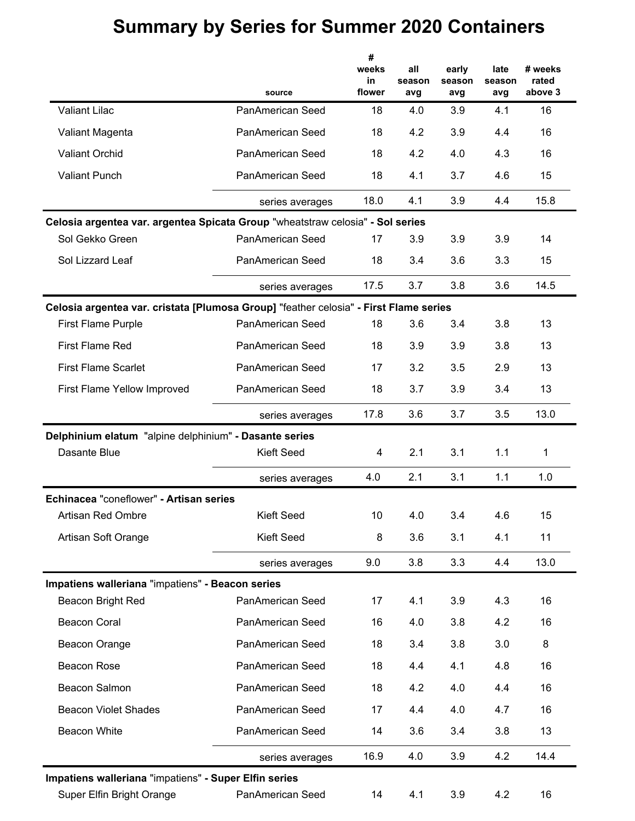# **Summary by Series for Summer 2020 Containers**

|                                                                                       | source                  | #<br>weeks<br>in<br>flower | all<br>season<br>avg | early<br>season<br>avg | late<br>season<br>avg | # weeks<br>rated<br>above 3 |
|---------------------------------------------------------------------------------------|-------------------------|----------------------------|----------------------|------------------------|-----------------------|-----------------------------|
| <b>Valiant Lilac</b>                                                                  | PanAmerican Seed        | 18                         | 4.0                  | 3.9                    | 4.1                   | 16                          |
| Valiant Magenta                                                                       | <b>PanAmerican Seed</b> | 18                         | 4.2                  | 3.9                    | 4.4                   | 16                          |
| <b>Valiant Orchid</b>                                                                 | PanAmerican Seed        | 18                         | 4.2                  | 4.0                    | 4.3                   | 16                          |
| <b>Valiant Punch</b>                                                                  | PanAmerican Seed        | 18                         | 4.1                  | 3.7                    | 4.6                   | 15                          |
|                                                                                       | series averages         | 18.0                       | 4.1                  | 3.9                    | 4.4                   | 15.8                        |
| Celosia argentea var. argentea Spicata Group "wheatstraw celosia" - Sol series        |                         |                            |                      |                        |                       |                             |
| Sol Gekko Green                                                                       | PanAmerican Seed        | 17                         | 3.9                  | 3.9                    | 3.9                   | 14                          |
| Sol Lizzard Leaf                                                                      | PanAmerican Seed        | 18                         | 3.4                  | 3.6                    | 3.3                   | 15                          |
|                                                                                       | series averages         | 17.5                       | 3.7                  | 3.8                    | 3.6                   | 14.5                        |
| Celosia argentea var. cristata [Plumosa Group] "feather celosia" - First Flame series |                         |                            |                      |                        |                       |                             |
| <b>First Flame Purple</b>                                                             | PanAmerican Seed        | 18                         | 3.6                  | 3.4                    | 3.8                   | 13                          |
| <b>First Flame Red</b>                                                                | PanAmerican Seed        | 18                         | 3.9                  | 3.9                    | 3.8                   | 13                          |
| <b>First Flame Scarlet</b>                                                            | PanAmerican Seed        | 17                         | 3.2                  | 3.5                    | 2.9                   | 13                          |
| First Flame Yellow Improved                                                           | PanAmerican Seed        | 18                         | 3.7                  | 3.9                    | 3.4                   | 13                          |
|                                                                                       | series averages         | 17.8                       | 3.6                  | 3.7                    | 3.5                   | 13.0                        |
| Delphinium elatum "alpine delphinium" - Dasante series                                |                         |                            |                      |                        |                       |                             |
| Dasante Blue                                                                          | <b>Kieft Seed</b>       | 4                          | 2.1                  | 3.1                    | 1.1                   | 1                           |
|                                                                                       | series averages         | 4.0                        | 2.1                  | 3.1                    | 1.1                   | 1.0                         |
| Echinacea "coneflower" - Artisan series                                               |                         |                            |                      |                        |                       |                             |
| Artisan Red Ombre                                                                     | <b>Kieft Seed</b>       | 10                         | 4.0                  | 3.4                    | 4.6                   | 15                          |
| Artisan Soft Orange                                                                   | <b>Kieft Seed</b>       | 8                          | 3.6                  | 3.1                    | 4.1                   | 11                          |
|                                                                                       | series averages         | 9.0                        | 3.8                  | 3.3                    | 4.4                   | 13.0                        |
| Impatiens walleriana "impatiens" - Beacon series                                      |                         |                            |                      |                        |                       |                             |
| Beacon Bright Red                                                                     | PanAmerican Seed        | 17                         | 4.1                  | 3.9                    | 4.3                   | 16                          |
| <b>Beacon Coral</b>                                                                   | PanAmerican Seed        | 16                         | 4.0                  | 3.8                    | 4.2                   | 16                          |
| Beacon Orange                                                                         | PanAmerican Seed        | 18                         | 3.4                  | 3.8                    | 3.0                   | 8                           |
| <b>Beacon Rose</b>                                                                    | PanAmerican Seed        | 18                         | 4.4                  | 4.1                    | 4.8                   | 16                          |
| Beacon Salmon                                                                         | PanAmerican Seed        | 18                         | 4.2                  | 4.0                    | 4.4                   | 16                          |
| <b>Beacon Violet Shades</b>                                                           | PanAmerican Seed        | 17                         | 4.4                  | 4.0                    | 4.7                   | 16                          |
| <b>Beacon White</b>                                                                   | PanAmerican Seed        | 14                         | 3.6                  | 3.4                    | 3.8                   | 13                          |
|                                                                                       | series averages         | 16.9                       | 4.0                  | 3.9                    | 4.2                   | 14.4                        |
| Impatiens walleriana "impatiens" - Super Elfin series                                 |                         |                            |                      |                        |                       |                             |
| Super Elfin Bright Orange                                                             | PanAmerican Seed        | 14                         | 4.1                  | 3.9                    | 4.2                   | 16                          |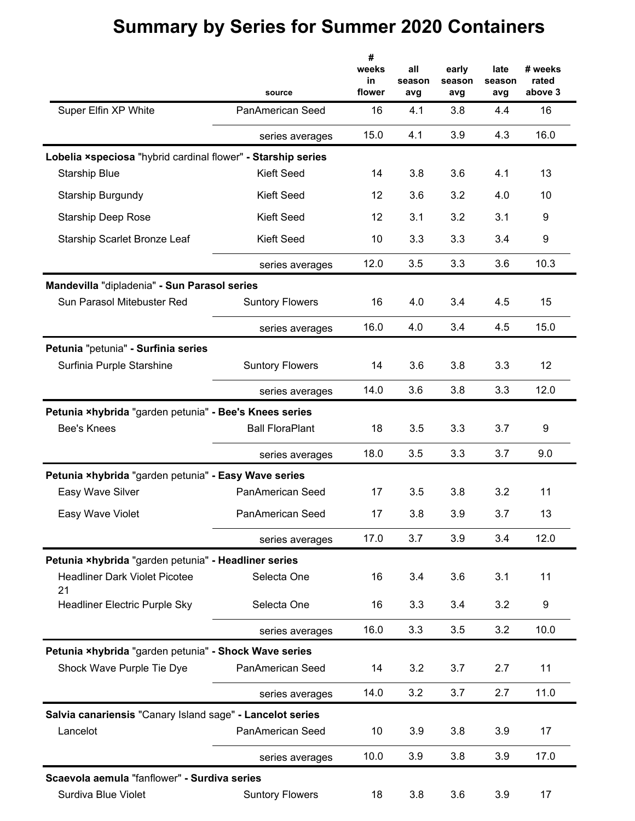#### **all season avg early season avg # weeks in flower # weeks rated above 3 late season avg source** Super Elfin XP White **PanAmerican Seed** 16 4.1 3.8 4.4 16 series averages 15.0 4.1 3.9 4.3 16.0 **Lobelia ×speciosa** "hybrid cardinal flower" **- Starship series** Starship Blue **Kieft Seed** 14 3.8 3.6 4.1 13 Starship Burgundy **Starship Burgundy Kieft Seed** 12 3.6 3.2 4.0 10 Starship Deep Rose Kieft Seed 12 3.1 3.2 3.1 9 Starship Scarlet Bronze Leaf Kieft Seed 10 3.3 3.3 3.4 9 series averages 12.0 3.5 3.3 3.6 10.3 **Mandevilla** "dipladenia" **- Sun Parasol series** Sun Parasol Mitebuster Red Suntory Flowers 16 4.0 3.4 4.5 15 series averages 16.0 4.0 3.4 4.5 15.0 **Petunia** "petunia" **- Surfinia series** Surfinia Purple Starshine Suntory Flowers 14 3.6 3.8 3.3 12 series averages 14.0 3.6 3.8 3.3 12.0 **Petunia ×hybrida** "garden petunia" **- Bee's Knees series** Bee's Knees Ball FloraPlant 18 3.5 3.3 3.7 9 series averages 18.0 3.5 3.3 3.7 9.0 **Petunia ×hybrida** "garden petunia" **- Easy Wave series** Easy Wave Silver PanAmerican Seed 17 3.5 3.8 3.2 11 Easy Wave Violet **PanAmerican Seed** 17 3.8 3.9 3.7 13 series averages 17.0 3.7 3.9 3.4 12.0 **Petunia ×hybrida** "garden petunia" **- Headliner series** Headliner Dark Violet Picotee 21 Selecta One 16 3.4 3.6 3.1 11 Headliner Electric Purple Sky Selecta One 16 3.3 3.4 3.2 9 series averages 16.0 3.3 3.5 3.2 10.0 **Petunia ×hybrida** "garden petunia" **- Shock Wave series** Shock Wave Purple Tie Dye PanAmerican Seed 14 3.2 3.7 2.7 11 series averages 14.0 3.2 3.7 2.7 11.0 **Salvia canariensis** "Canary Island sage" **- Lancelot series** Lancelot **PanAmerican Seed** 10 3.9 3.8 3.9 17 series averages 10.0 3.9 3.8 3.9 17.0 **Scaevola aemula** "fanflower" **- Surdiva series** Surdiva Blue Violet Suntory Flowers 18 3.8 3.6 3.9 17

### **Summary by Series for Summer 2020 Containers**